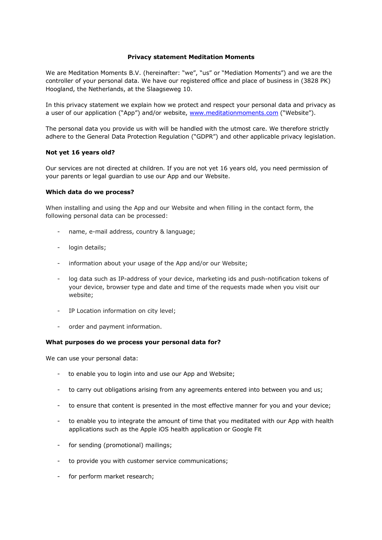### **Privacy statement Meditation Moments**

We are Meditation Moments B.V. (hereinafter: "we", "us" or "Mediation Moments") and we are the controller of your personal data. We have our registered office and place of business in (3828 PK) Hoogland, the Netherlands, at the Slaagseweg 10.

In this privacy statement we explain how we protect and respect your personal data and privacy as a user of our application ("App") and/or website, www.meditationmoments.com ("Website").

The personal data you provide us with will be handled with the utmost care. We therefore strictly adhere to the General Data Protection Regulation ("GDPR") and other applicable privacy legislation.

# **Not yet 16 years old?**

Our services are not directed at children. If you are not yet 16 years old, you need permission of your parents or legal guardian to use our App and our Website.

### **Which data do we process?**

When installing and using the App and our Website and when filling in the contact form, the following personal data can be processed:

- name, e-mail address, country & language;
- login details;
- information about your usage of the App and/or our Website;
- log data such as IP-address of your device, marketing ids and push-notification tokens of your device, browser type and date and time of the requests made when you visit our website;
- IP Location information on city level;
- order and payment information.

### **What purposes do we process your personal data for?**

We can use your personal data:

- to enable you to login into and use our App and Website;
- to carry out obligations arising from any agreements entered into between you and us;
- to ensure that content is presented in the most effective manner for you and your device;
- to enable you to integrate the amount of time that you meditated with our App with health applications such as the Apple iOS health application or Google Fit
- for sending (promotional) mailings;
- to provide you with customer service communications;
- for perform market research;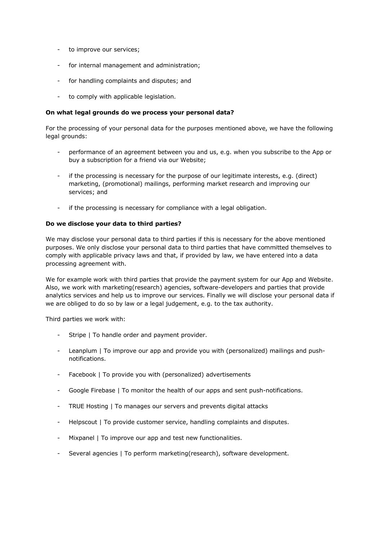- to improve our services;
- for internal management and administration;
- for handling complaints and disputes; and
- to comply with applicable legislation.

### **On what legal grounds do we process your personal data?**

For the processing of your personal data for the purposes mentioned above, we have the following legal grounds:

- performance of an agreement between you and us, e.g. when you subscribe to the App or buy a subscription for a friend via our Website;
- if the processing is necessary for the purpose of our legitimate interests, e.g. (direct) marketing, (promotional) mailings, performing market research and improving our services; and
- if the processing is necessary for compliance with a legal obligation.

# **Do we disclose your data to third parties?**

We may disclose your personal data to third parties if this is necessary for the above mentioned purposes. We only disclose your personal data to third parties that have committed themselves to comply with applicable privacy laws and that, if provided by law, we have entered into a data processing agreement with.

We for example work with third parties that provide the payment system for our App and Website. Also, we work with marketing(research) agencies, software-developers and parties that provide analytics services and help us to improve our services. Finally we will disclose your personal data if we are obliged to do so by law or a legal judgement, e.g. to the tax authority.

Third parties we work with:

- Stripe | To handle order and payment provider.
- Leanplum | To improve our app and provide you with (personalized) mailings and pushnotifications.
- Facebook | To provide you with (personalized) advertisements
- Google Firebase | To monitor the health of our apps and sent push-notifications.
- TRUE Hosting | To manages our servers and prevents digital attacks
- Helpscout | To provide customer service, handling complaints and disputes.
- Mixpanel | To improve our app and test new functionalities.
- Several agencies | To perform marketing(research), software development.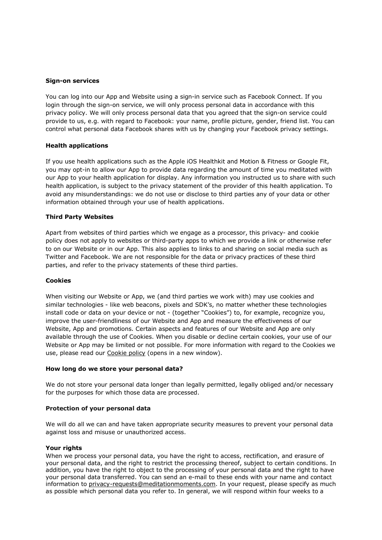#### **Sign-on services**

You can log into our App and Website using a sign-in service such as Facebook Connect. If you login through the sign-on service, we will only process personal data in accordance with this privacy policy. We will only process personal data that you agreed that the sign-on service could provide to us, e.g. with regard to Facebook: your name, profile picture, gender, friend list. You can control what personal data Facebook shares with us by changing your Facebook privacy settings.

### **Health applications**

If you use health applications such as the Apple iOS Healthkit and Motion & Fitness or Google Fit, you may opt-in to allow our App to provide data regarding the amount of time you meditated with our App to your health application for display. Any information you instructed us to share with such health application, is subject to the privacy statement of the provider of this health application. To avoid any misunderstandings: we do not use or disclose to third parties any of your data or other information obtained through your use of health applications.

### **Third Party Websites**

Apart from websites of third parties which we engage as a processor, this privacy- and cookie policy does not apply to websites or third-party apps to which we provide a link or otherwise refer to on our Website or in our App. This also applies to links to and sharing on social media such as Twitter and Facebook. We are not responsible for the data or privacy practices of these third parties, and refer to the privacy statements of these third parties.

### **Cookies**

When visiting our Website or App, we (and third parties we work with) may use cookies and similar technologies - like web beacons, pixels and SDK's, no matter whether these technologies install code or data on your device or not - (together "Cookies") to, for example, recognize you, improve the user-friendliness of our Website and App and measure the effectiveness of our Website, App and promotions. Certain aspects and features of our Website and App are only available through the use of Cookies. When you disable or decline certain cookies, your use of our Website or App may be limited or not possible. For more information with regard to the Cookies we use, please read our Cookie policy (opens in a new window).

### **How long do we store your personal data?**

We do not store your personal data longer than legally permitted, legally obliged and/or necessary for the purposes for which those data are processed.

### **Protection of your personal data**

We will do all we can and have taken appropriate security measures to prevent your personal data against loss and misuse or unauthorized access.

### **Your rights**

When we process your personal data, you have the right to access, rectification, and erasure of your personal data, and the right to restrict the processing thereof, subject to certain conditions. In addition, you have the right to object to the processing of your personal data and the right to have your personal data transferred. You can send an e-mail to these ends with your name and contact information to privacy-requests@meditationmoments.com. In your request, please specify as much as possible which personal data you refer to. In general, we will respond within four weeks to a